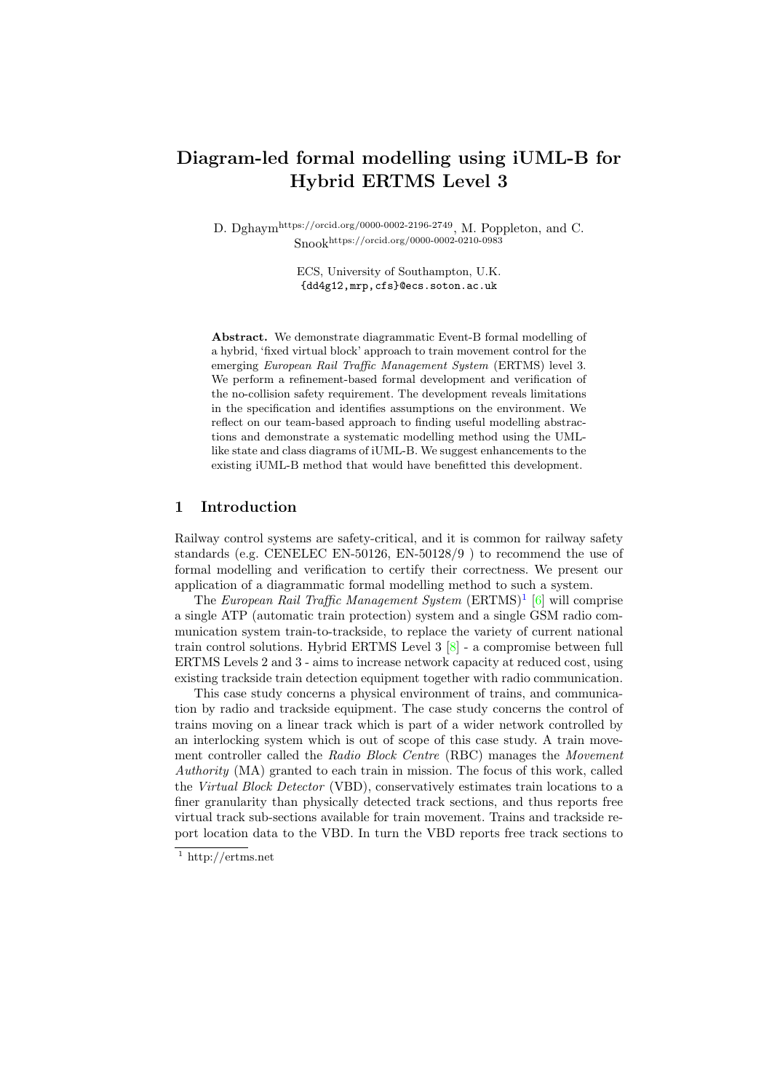# Diagram-led formal modelling using iUML-B for Hybrid ERTMS Level 3

D. Dghaymhttps://orcid.org/0000-0002-2196-2749, M. Poppleton, and C. Snookhttps://orcid.org/0000-0002-0210-0983

> ECS, University of Southampton, U.K. {dd4g12,mrp,cfs}@ecs.soton.ac.uk

Abstract. We demonstrate diagrammatic Event-B formal modelling of a hybrid, 'fixed virtual block' approach to train movement control for the emerging European Rail Traffic Management System (ERTMS) level 3. We perform a refinement-based formal development and verification of the no-collision safety requirement. The development reveals limitations in the specification and identifies assumptions on the environment. We reflect on our team-based approach to finding useful modelling abstractions and demonstrate a systematic modelling method using the UMLlike state and class diagrams of iUML-B. We suggest enhancements to the existing iUML-B method that would have benefitted this development.

# 1 Introduction

Railway control systems are safety-critical, and it is common for railway safety standards (e.g. CENELEC EN-50126, EN-50128/9 ) to recommend the use of formal modelling and verification to certify their correctness. We present our application of a diagrammatic formal modelling method to such a system.

The European Rail Traffic Management System  $(ERTMS)^1$  $(ERTMS)^1$  [\[6\]](#page-14-0) will comprise a single ATP (automatic train protection) system and a single GSM radio communication system train-to-trackside, to replace the variety of current national train control solutions. Hybrid ERTMS Level 3 [\[8\]](#page-14-1) - a compromise between full ERTMS Levels 2 and 3 - aims to increase network capacity at reduced cost, using existing trackside train detection equipment together with radio communication.

This case study concerns a physical environment of trains, and communication by radio and trackside equipment. The case study concerns the control of trains moving on a linear track which is part of a wider network controlled by an interlocking system which is out of scope of this case study. A train movement controller called the Radio Block Centre (RBC) manages the Movement Authority (MA) granted to each train in mission. The focus of this work, called the Virtual Block Detector (VBD), conservatively estimates train locations to a finer granularity than physically detected track sections, and thus reports free virtual track sub-sections available for train movement. Trains and trackside report location data to the VBD. In turn the VBD reports free track sections to

<span id="page-0-0"></span> $1 \text{ http://ertms.net}$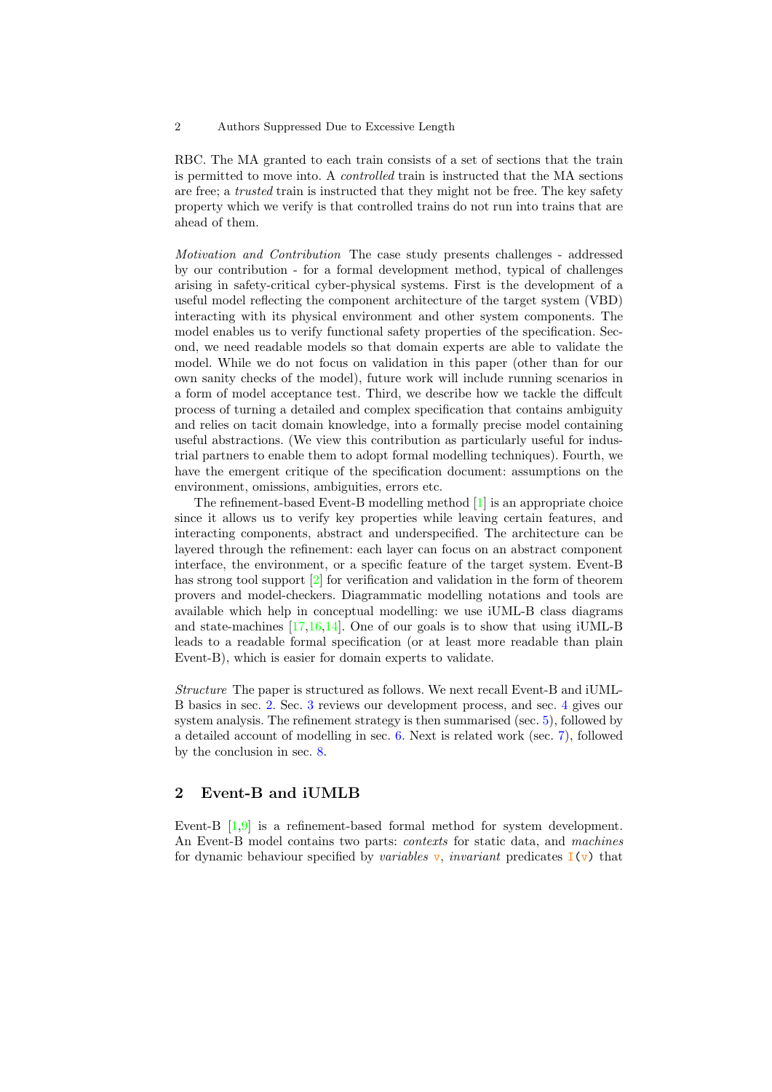RBC. The MA granted to each train consists of a set of sections that the train is permitted to move into. A controlled train is instructed that the MA sections are free; a trusted train is instructed that they might not be free. The key safety property which we verify is that controlled trains do not run into trains that are ahead of them.

Motivation and Contribution The case study presents challenges - addressed by our contribution - for a formal development method, typical of challenges arising in safety-critical cyber-physical systems. First is the development of a useful model reflecting the component architecture of the target system (VBD) interacting with its physical environment and other system components. The model enables us to verify functional safety properties of the specification. Second, we need readable models so that domain experts are able to validate the model. While we do not focus on validation in this paper (other than for our own sanity checks of the model), future work will include running scenarios in a form of model acceptance test. Third, we describe how we tackle the diffcult process of turning a detailed and complex specification that contains ambiguity and relies on tacit domain knowledge, into a formally precise model containing useful abstractions. (We view this contribution as particularly useful for industrial partners to enable them to adopt formal modelling techniques). Fourth, we have the emergent critique of the specification document: assumptions on the environment, omissions, ambiguities, errors etc.

The refinement-based Event-B modelling method [\[1\]](#page-13-0) is an appropriate choice since it allows us to verify key properties while leaving certain features, and interacting components, abstract and underspecified. The architecture can be layered through the refinement: each layer can focus on an abstract component interface, the environment, or a specific feature of the target system. Event-B has strong tool support [\[2\]](#page-14-2) for verification and validation in the form of theorem provers and model-checkers. Diagrammatic modelling notations and tools are available which help in conceptual modelling: we use iUML-B class diagrams and state-machines  $[17,16,14]$  $[17,16,14]$  $[17,16,14]$ . One of our goals is to show that using iUML-B leads to a readable formal specification (or at least more readable than plain Event-B), which is easier for domain experts to validate.

Structure The paper is structured as follows. We next recall Event-B and iUML-B basics in sec. [2.](#page-1-0) Sec. [3](#page-2-0) reviews our development process, and sec. [4](#page-4-0) gives our system analysis. The refinement strategy is then summarised (sec. [5\)](#page-6-0), followed by a detailed account of modelling in sec. [6.](#page-6-1) Next is related work (sec. [7\)](#page-11-0), followed by the conclusion in sec. [8.](#page-12-0)

# <span id="page-1-0"></span>2 Event-B and iUMLB

Event-B [\[1](#page-13-0)[,9\]](#page-14-6) is a refinement-based formal method for system development. An Event-B model contains two parts: *contexts* for static data, and machines for dynamic behaviour specified by variables v, invariant predicates  $I(v)$  that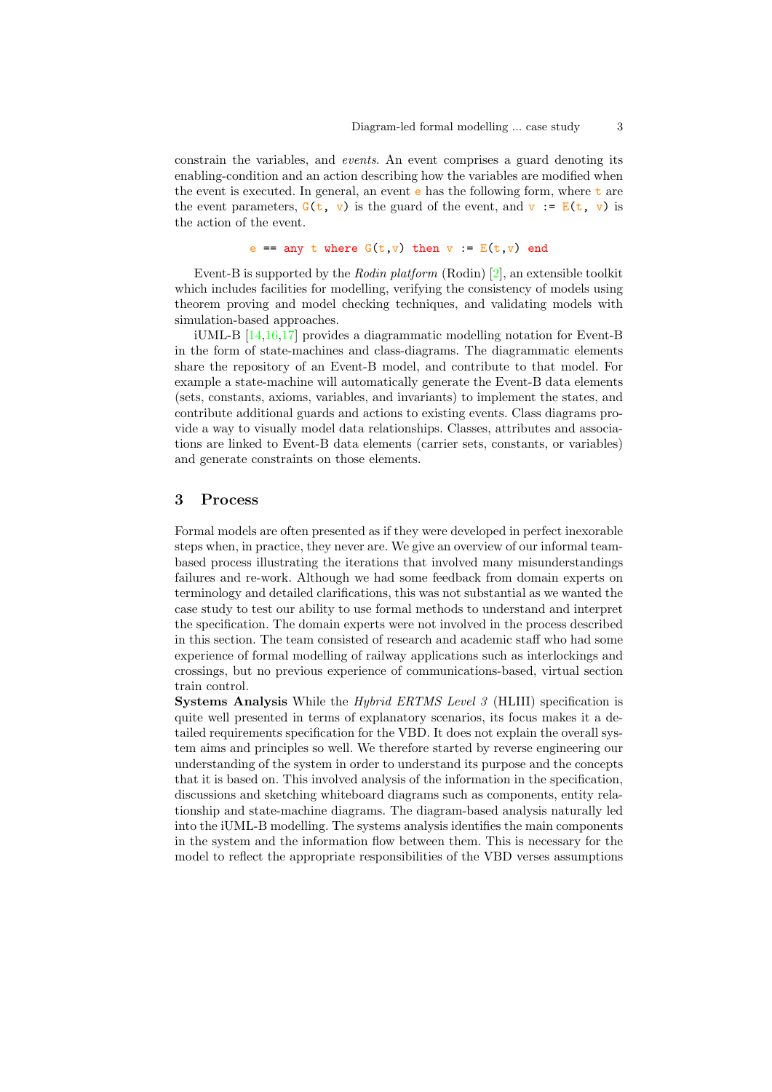constrain the variables, and *events*. An event comprises a guard denoting its enabling-condition and an action describing how the variables are modified when the event is executed. In general, an event  $e$  has the following form, where  $t$  are the event parameters,  $G(t, v)$  is the guard of the event, and  $v := E(t, v)$  is the action of the event.

```
e = \text{any } t \text{ where } G(t, v) \text{ then } v := E(t, v) \text{ end}
```
Event-B is supported by the Rodin platform (Rodin) [\[2\]](#page-14-2), an extensible toolkit which includes facilities for modelling, verifying the consistency of models using theorem proving and model checking techniques, and validating models with simulation-based approaches.

iUML-B [\[14,](#page-14-5)[16](#page-14-4)[,17\]](#page-14-3) provides a diagrammatic modelling notation for Event-B in the form of state-machines and class-diagrams. The diagrammatic elements share the repository of an Event-B model, and contribute to that model. For example a state-machine will automatically generate the Event-B data elements (sets, constants, axioms, variables, and invariants) to implement the states, and contribute additional guards and actions to existing events. Class diagrams provide a way to visually model data relationships. Classes, attributes and associations are linked to Event-B data elements (carrier sets, constants, or variables) and generate constraints on those elements.

### <span id="page-2-0"></span>3 Process

Formal models are often presented as if they were developed in perfect inexorable steps when, in practice, they never are. We give an overview of our informal teambased process illustrating the iterations that involved many misunderstandings failures and re-work. Although we had some feedback from domain experts on terminology and detailed clarifications, this was not substantial as we wanted the case study to test our ability to use formal methods to understand and interpret the specification. The domain experts were not involved in the process described in this section. The team consisted of research and academic staff who had some experience of formal modelling of railway applications such as interlockings and crossings, but no previous experience of communications-based, virtual section train control.

Systems Analysis While the *Hybrid ERTMS Level 3* (HLIII) specification is quite well presented in terms of explanatory scenarios, its focus makes it a detailed requirements specification for the VBD. It does not explain the overall system aims and principles so well. We therefore started by reverse engineering our understanding of the system in order to understand its purpose and the concepts that it is based on. This involved analysis of the information in the specification, discussions and sketching whiteboard diagrams such as components, entity relationship and state-machine diagrams. The diagram-based analysis naturally led into the iUML-B modelling. The systems analysis identifies the main components in the system and the information flow between them. This is necessary for the model to reflect the appropriate responsibilities of the VBD verses assumptions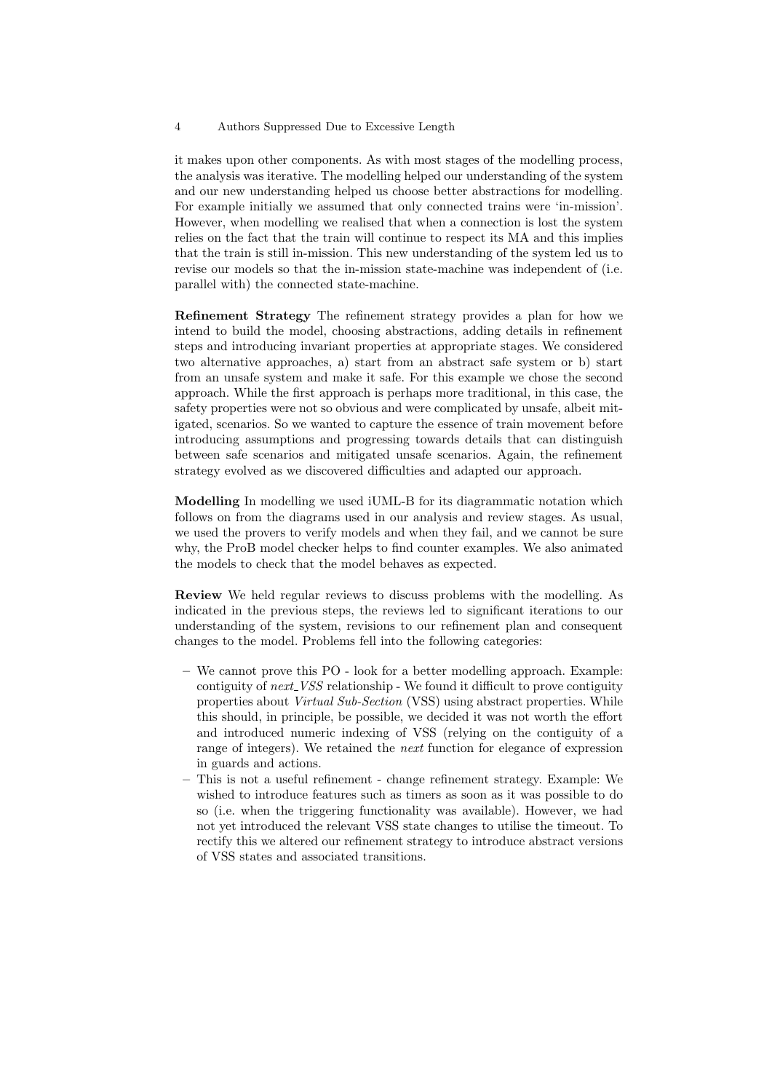it makes upon other components. As with most stages of the modelling process, the analysis was iterative. The modelling helped our understanding of the system and our new understanding helped us choose better abstractions for modelling. For example initially we assumed that only connected trains were 'in-mission'. However, when modelling we realised that when a connection is lost the system relies on the fact that the train will continue to respect its MA and this implies that the train is still in-mission. This new understanding of the system led us to revise our models so that the in-mission state-machine was independent of (i.e. parallel with) the connected state-machine.

Refinement Strategy The refinement strategy provides a plan for how we intend to build the model, choosing abstractions, adding details in refinement steps and introducing invariant properties at appropriate stages. We considered two alternative approaches, a) start from an abstract safe system or b) start from an unsafe system and make it safe. For this example we chose the second approach. While the first approach is perhaps more traditional, in this case, the safety properties were not so obvious and were complicated by unsafe, albeit mitigated, scenarios. So we wanted to capture the essence of train movement before introducing assumptions and progressing towards details that can distinguish between safe scenarios and mitigated unsafe scenarios. Again, the refinement strategy evolved as we discovered difficulties and adapted our approach.

Modelling In modelling we used iUML-B for its diagrammatic notation which follows on from the diagrams used in our analysis and review stages. As usual, we used the provers to verify models and when they fail, and we cannot be sure why, the ProB model checker helps to find counter examples. We also animated the models to check that the model behaves as expected.

Review We held regular reviews to discuss problems with the modelling. As indicated in the previous steps, the reviews led to significant iterations to our understanding of the system, revisions to our refinement plan and consequent changes to the model. Problems fell into the following categories:

- We cannot prove this PO look for a better modelling approach. Example: contiguity of  $next_VSS$  relationship - We found it difficult to prove contiguity properties about Virtual Sub-Section (VSS) using abstract properties. While this should, in principle, be possible, we decided it was not worth the effort and introduced numeric indexing of VSS (relying on the contiguity of a range of integers). We retained the *next* function for elegance of expression in guards and actions.
- This is not a useful refinement change refinement strategy. Example: We wished to introduce features such as timers as soon as it was possible to do so (i.e. when the triggering functionality was available). However, we had not yet introduced the relevant VSS state changes to utilise the timeout. To rectify this we altered our refinement strategy to introduce abstract versions of VSS states and associated transitions.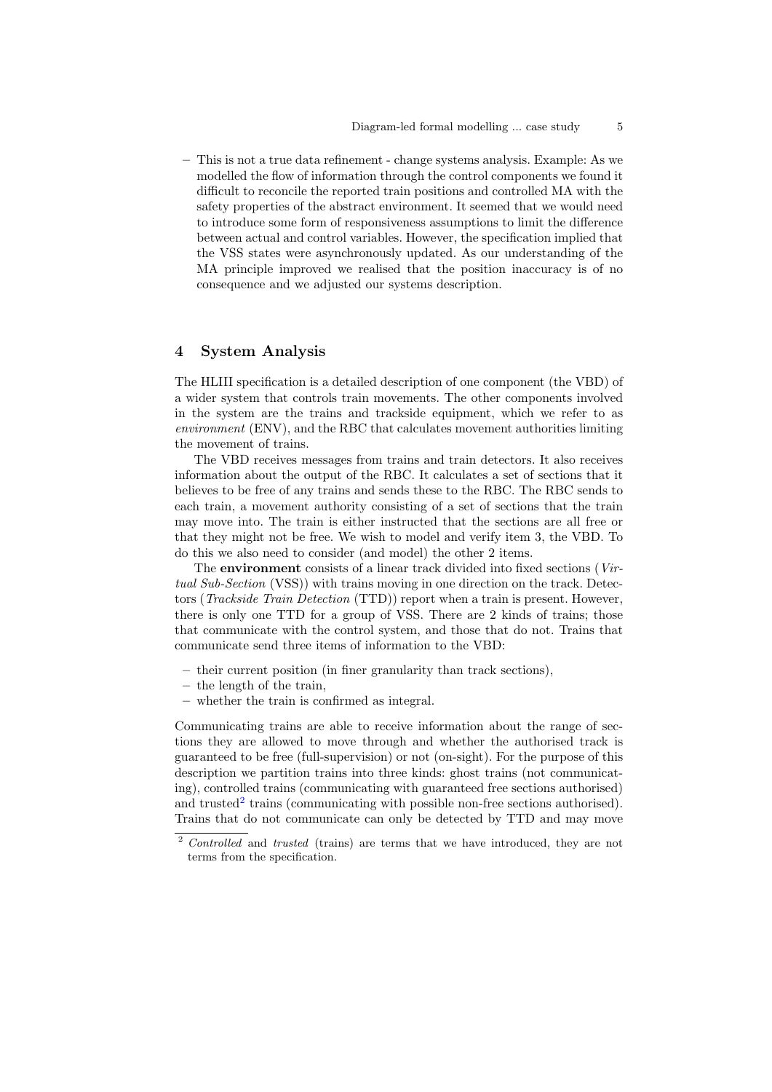– This is not a true data refinement - change systems analysis. Example: As we modelled the flow of information through the control components we found it difficult to reconcile the reported train positions and controlled MA with the safety properties of the abstract environment. It seemed that we would need to introduce some form of responsiveness assumptions to limit the difference between actual and control variables. However, the specification implied that the VSS states were asynchronously updated. As our understanding of the MA principle improved we realised that the position inaccuracy is of no consequence and we adjusted our systems description.

### <span id="page-4-0"></span>4 System Analysis

The HLIII specification is a detailed description of one component (the VBD) of a wider system that controls train movements. The other components involved in the system are the trains and trackside equipment, which we refer to as environment (ENV), and the RBC that calculates movement authorities limiting the movement of trains.

The VBD receives messages from trains and train detectors. It also receives information about the output of the RBC. It calculates a set of sections that it believes to be free of any trains and sends these to the RBC. The RBC sends to each train, a movement authority consisting of a set of sections that the train may move into. The train is either instructed that the sections are all free or that they might not be free. We wish to model and verify item 3, the VBD. To do this we also need to consider (and model) the other 2 items.

The environment consists of a linear track divided into fixed sections (Virtual Sub-Section (VSS)) with trains moving in one direction on the track. Detectors (*Trackside Train Detection* (TTD)) report when a train is present. However, there is only one TTD for a group of VSS. There are 2 kinds of trains; those that communicate with the control system, and those that do not. Trains that communicate send three items of information to the VBD:

- their current position (in finer granularity than track sections),
- the length of the train,
- whether the train is confirmed as integral.

Communicating trains are able to receive information about the range of sections they are allowed to move through and whether the authorised track is guaranteed to be free (full-supervision) or not (on-sight). For the purpose of this description we partition trains into three kinds: ghost trains (not communicating), controlled trains (communicating with guaranteed free sections authorised) and trusted<sup>[2](#page-4-1)</sup> trains (communicating with possible non-free sections authorised). Trains that do not communicate can only be detected by TTD and may move

<span id="page-4-1"></span><sup>&</sup>lt;sup>2</sup> Controlled and trusted (trains) are terms that we have introduced, they are not terms from the specification.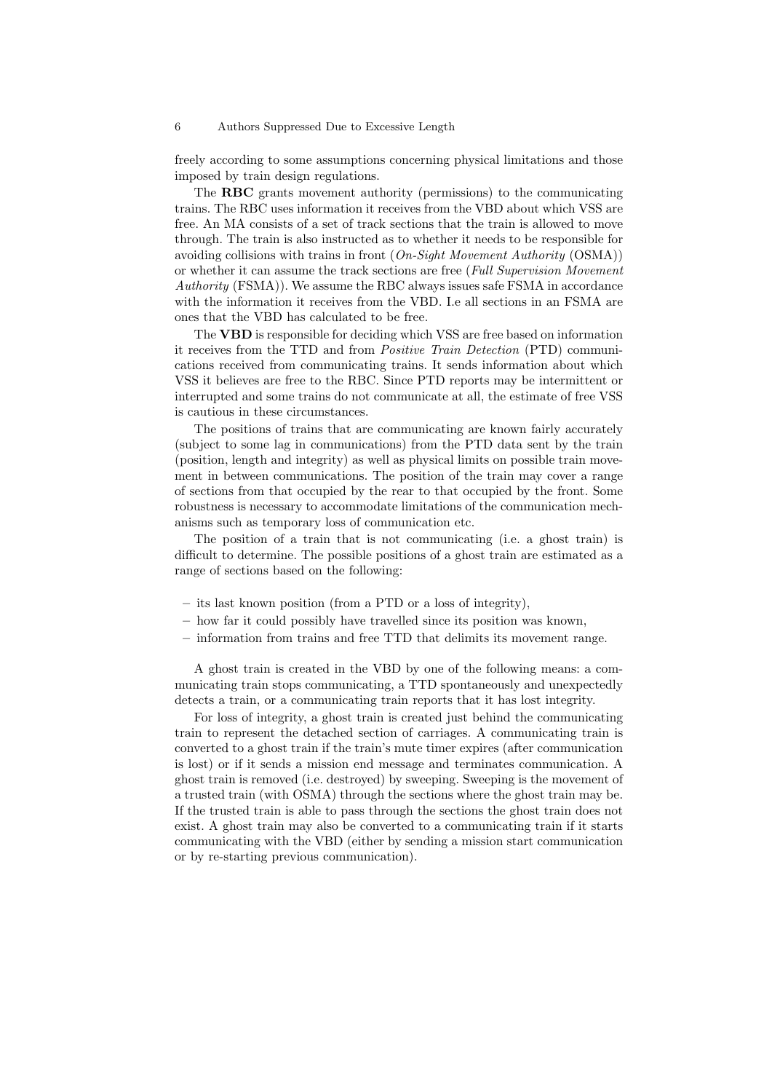freely according to some assumptions concerning physical limitations and those imposed by train design regulations.

The RBC grants movement authority (permissions) to the communicating trains. The RBC uses information it receives from the VBD about which VSS are free. An MA consists of a set of track sections that the train is allowed to move through. The train is also instructed as to whether it needs to be responsible for avoiding collisions with trains in front  $(On-Sight Movement Authority (OSMA))$ or whether it can assume the track sections are free (Full Supervision Movement Authority (FSMA)). We assume the RBC always issues safe FSMA in accordance with the information it receives from the VBD. I.e all sections in an FSMA are ones that the VBD has calculated to be free.

The VBD is responsible for deciding which VSS are free based on information it receives from the TTD and from Positive Train Detection (PTD) communications received from communicating trains. It sends information about which VSS it believes are free to the RBC. Since PTD reports may be intermittent or interrupted and some trains do not communicate at all, the estimate of free VSS is cautious in these circumstances.

The positions of trains that are communicating are known fairly accurately (subject to some lag in communications) from the PTD data sent by the train (position, length and integrity) as well as physical limits on possible train movement in between communications. The position of the train may cover a range of sections from that occupied by the rear to that occupied by the front. Some robustness is necessary to accommodate limitations of the communication mechanisms such as temporary loss of communication etc.

The position of a train that is not communicating (i.e. a ghost train) is difficult to determine. The possible positions of a ghost train are estimated as a range of sections based on the following:

- its last known position (from a PTD or a loss of integrity),
- how far it could possibly have travelled since its position was known,
- information from trains and free TTD that delimits its movement range.

A ghost train is created in the VBD by one of the following means: a communicating train stops communicating, a TTD spontaneously and unexpectedly detects a train, or a communicating train reports that it has lost integrity.

For loss of integrity, a ghost train is created just behind the communicating train to represent the detached section of carriages. A communicating train is converted to a ghost train if the train's mute timer expires (after communication is lost) or if it sends a mission end message and terminates communication. A ghost train is removed (i.e. destroyed) by sweeping. Sweeping is the movement of a trusted train (with OSMA) through the sections where the ghost train may be. If the trusted train is able to pass through the sections the ghost train does not exist. A ghost train may also be converted to a communicating train if it starts communicating with the VBD (either by sending a mission start communication or by re-starting previous communication).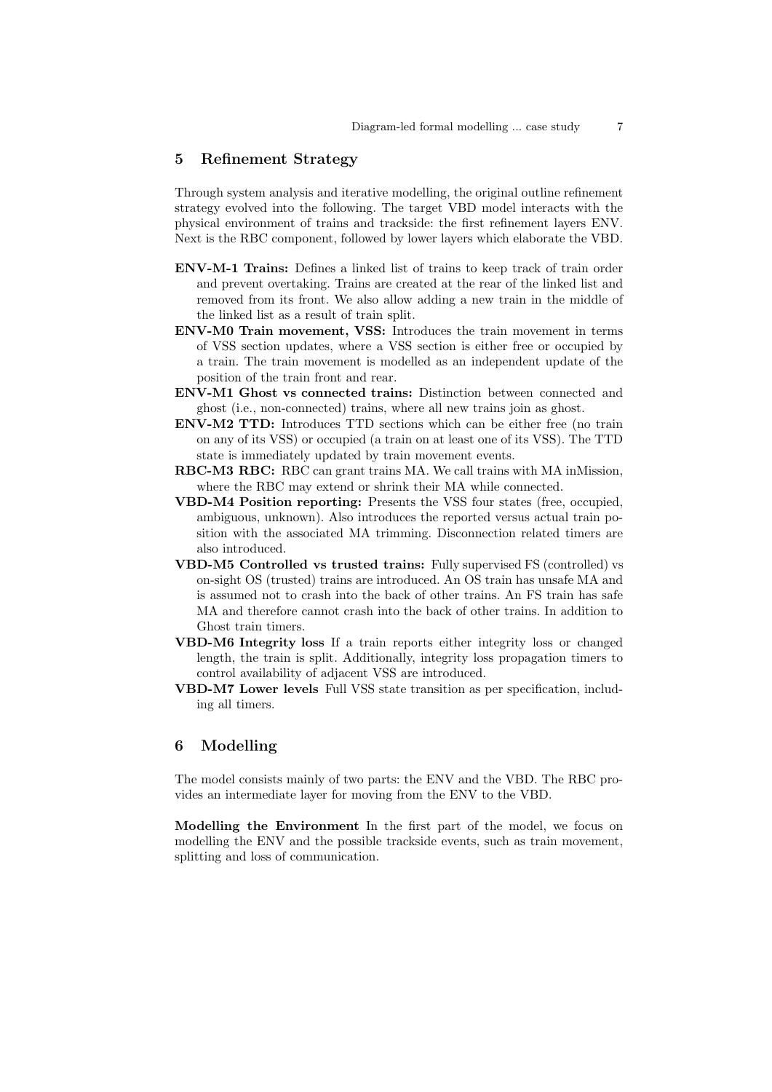### <span id="page-6-0"></span>5 Refinement Strategy

Through system analysis and iterative modelling, the original outline refinement strategy evolved into the following. The target VBD model interacts with the physical environment of trains and trackside: the first refinement layers ENV. Next is the RBC component, followed by lower layers which elaborate the VBD.

- ENV-M-1 Trains: Defines a linked list of trains to keep track of train order and prevent overtaking. Trains are created at the rear of the linked list and removed from its front. We also allow adding a new train in the middle of the linked list as a result of train split.
- ENV-M0 Train movement, VSS: Introduces the train movement in terms of VSS section updates, where a VSS section is either free or occupied by a train. The train movement is modelled as an independent update of the position of the train front and rear.
- ENV-M1 Ghost vs connected trains: Distinction between connected and ghost (i.e., non-connected) trains, where all new trains join as ghost.
- ENV-M2 TTD: Introduces TTD sections which can be either free (no train on any of its VSS) or occupied (a train on at least one of its VSS). The TTD state is immediately updated by train movement events.
- RBC-M3 RBC: RBC can grant trains MA. We call trains with MA inMission, where the RBC may extend or shrink their MA while connected.
- VBD-M4 Position reporting: Presents the VSS four states (free, occupied, ambiguous, unknown). Also introduces the reported versus actual train position with the associated MA trimming. Disconnection related timers are also introduced.
- VBD-M5 Controlled vs trusted trains: Fully supervised FS (controlled) vs on-sight OS (trusted) trains are introduced. An OS train has unsafe MA and is assumed not to crash into the back of other trains. An FS train has safe MA and therefore cannot crash into the back of other trains. In addition to Ghost train timers.
- VBD-M6 Integrity loss If a train reports either integrity loss or changed length, the train is split. Additionally, integrity loss propagation timers to control availability of adjacent VSS are introduced.
- VBD-M7 Lower levels Full VSS state transition as per specification, including all timers.

# <span id="page-6-1"></span>6 Modelling

The model consists mainly of two parts: the ENV and the VBD. The RBC provides an intermediate layer for moving from the ENV to the VBD.

Modelling the Environment In the first part of the model, we focus on modelling the ENV and the possible trackside events, such as train movement, splitting and loss of communication.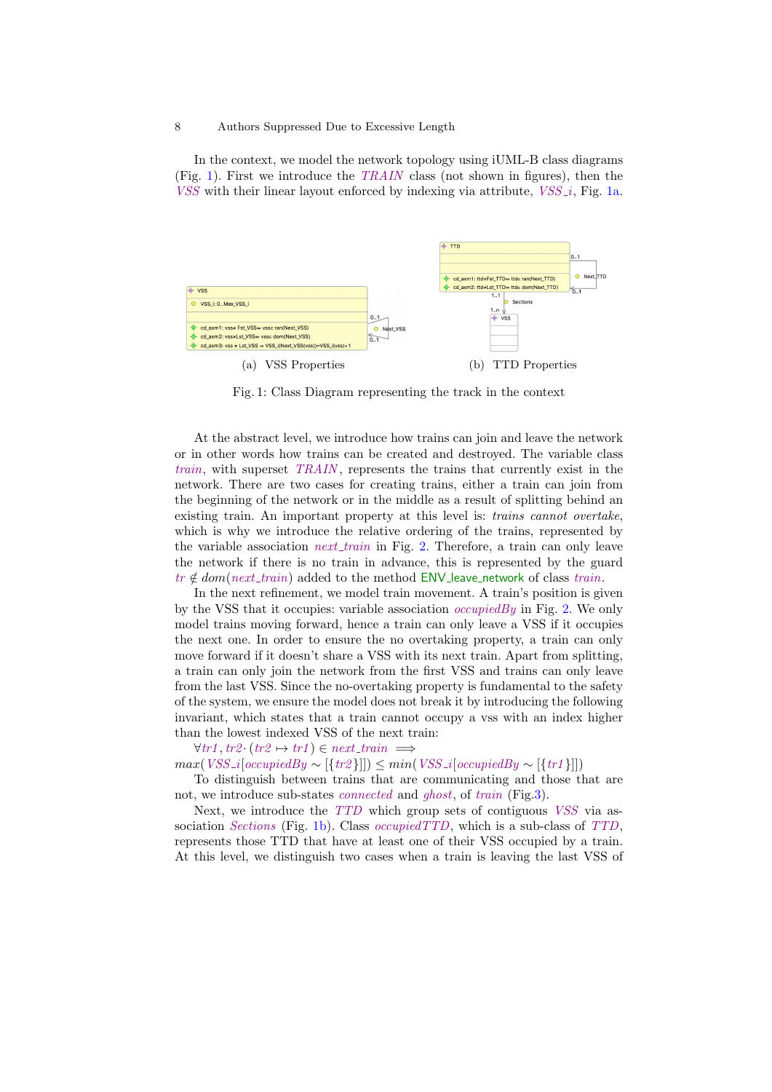In the context, we model the network topology using iUML-B class diagrams (Fig. [1\)](#page-7-0). First we introduce the  $TRAIN$  class (not shown in figures), then the VSS with their linear layout enforced by indexing via attribute,  $VSS_i$ , Fig. [1a.](#page-7-1)

<span id="page-7-1"></span><span id="page-7-0"></span>

<span id="page-7-2"></span>Fig. 1: Class Diagram representing the track in the context

At the abstract level, we introduce how trains can join and leave the network or in other words how trains can be created and destroyed. The variable class train, with superset  $TRAIN$ , represents the trains that currently exist in the network. There are two cases for creating trains, either a train can join from the beginning of the network or in the middle as a result of splitting behind an existing train. An important property at this level is: *trains cannot overtake*, which is why we introduce the relative ordering of the trains, represented by the variable association  $next\_train$  in Fig. [2.](#page-8-0) Therefore, a train can only leave the network if there is no train in advance, this is represented by the guard  $tr \notin dom(next_{train})$  added to the method ENV leave network of class train.

In the next refinement, we model train movement. A train's position is given by the VSS that it occupies: variable association *occupiedBy* in Fig. [2.](#page-8-0) We only model trains moving forward, hence a train can only leave a VSS if it occupies the next one. In order to ensure the no overtaking property, a train can only move forward if it doesn't share a VSS with its next train. Apart from splitting, a train can only join the network from the first VSS and trains can only leave from the last VSS. Since the no-overtaking property is fundamental to the safety of the system, we ensure the model does not break it by introducing the following invariant, which states that a train cannot occupy a vss with an index higher than the lowest indexed VSS of the next train:

 $\forall tr1, tr2 \cdot (tr2 \mapsto tr1) \in next\_train \implies$ 

 $max(VSS\_i[occupiedBy ~ \sim [{\{tr2\}}]]) \leq min(VSS\_i[occupiedBy ~ \sim [{\{tr1\}}]])$ 

To distinguish between trains that are communicating and those that are not, we introduce sub-states *connected* and *ghost*, of *train* (Fig[.3\)](#page-8-1).

Next, we introduce the *TTD* which group sets of contiguous *VSS* via association Sections (Fig. [1b\)](#page-7-2). Class occupiedTTD, which is a sub-class of TTD, represents those TTD that have at least one of their VSS occupied by a train. At this level, we distinguish two cases when a train is leaving the last VSS of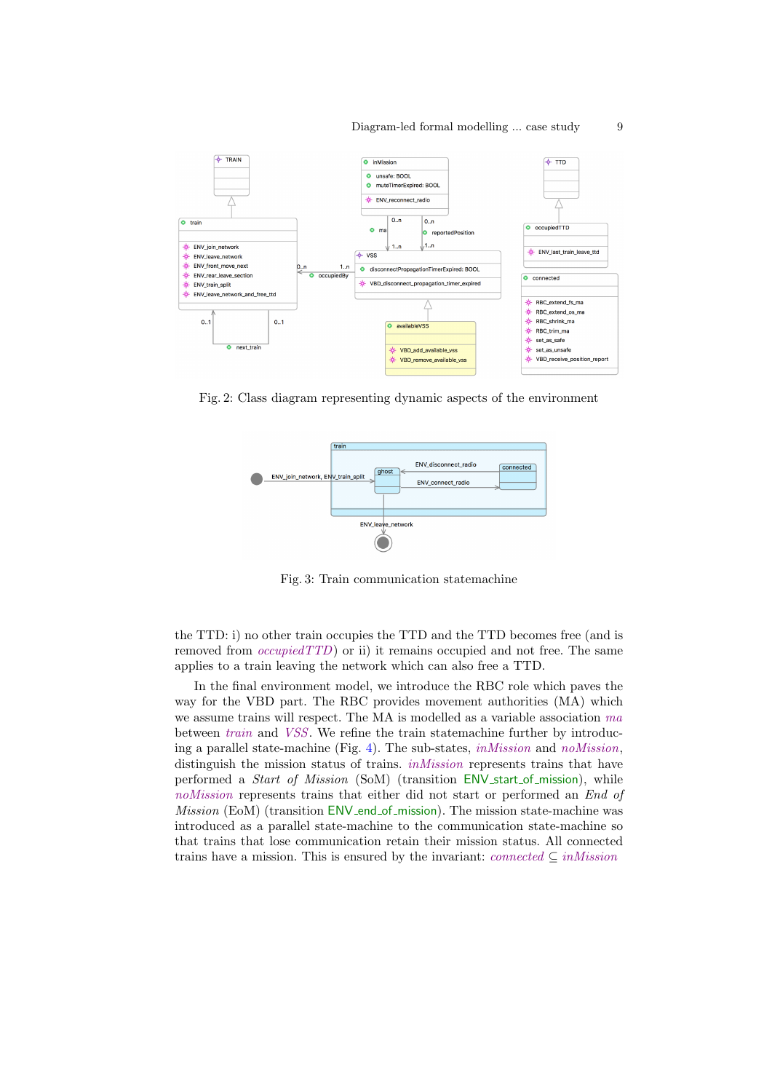<span id="page-8-0"></span>

<span id="page-8-1"></span>Fig. 2: Class diagram representing dynamic aspects of the environment



Fig. 3: Train communication statemachine

the TTD: i) no other train occupies the TTD and the TTD becomes free (and is removed from  $occupiedTTD$  or ii) it remains occupied and not free. The same applies to a train leaving the network which can also free a TTD.

In the final environment model, we introduce the RBC role which paves the way for the VBD part. The RBC provides movement authorities (MA) which we assume trains will respect. The MA is modelled as a variable association  $ma$ between train and VSS. We refine the train statemachine further by introducing a parallel state-machine (Fig. [4\)](#page-9-0). The sub-states, inMission and noMission, distinguish the mission status of trains. *inMission* represents trains that have performed a *Start of Mission* (SoM) (transition ENV start of mission), while noMission represents trains that either did not start or performed an End of Mission (EoM) (transition ENV end of mission). The mission state-machine was introduced as a parallel state-machine to the communication state-machine so that trains that lose communication retain their mission status. All connected trains have a mission. This is ensured by the invariant: *connected*  $\subseteq$  *inMission*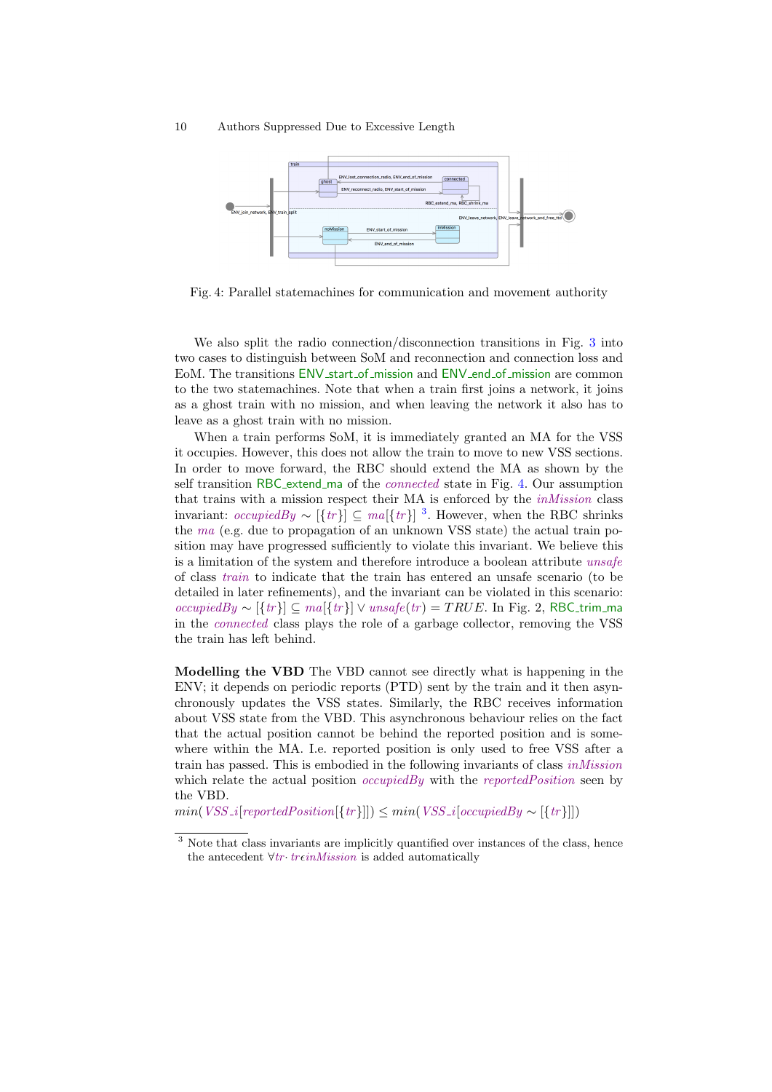<span id="page-9-0"></span>

Fig. 4: Parallel statemachines for communication and movement authority

We also split the radio connection/disconnection transitions in Fig. [3](#page-8-1) into two cases to distinguish between SoM and reconnection and connection loss and EoM. The transitions ENV\_start\_of\_mission and ENV\_end\_of\_mission are common to the two statemachines. Note that when a train first joins a network, it joins as a ghost train with no mission, and when leaving the network it also has to leave as a ghost train with no mission.

When a train performs SoM, it is immediately granted an MA for the VSS it occupies. However, this does not allow the train to move to new VSS sections. In order to move forward, the RBC should extend the MA as shown by the self transition RBC extend ma of the *connected* state in Fig. [4.](#page-9-0) Our assumption that trains with a mission respect their MA is enforced by the inMission class invariant: *occupiedBy* ~  $[\{tr\}] \subseteq ma[\{tr\}]$ <sup>[3](#page-9-1)</sup>. However, when the RBC shrinks the ma (e.g. due to propagation of an unknown VSS state) the actual train position may have progressed sufficiently to violate this invariant. We believe this is a limitation of the system and therefore introduce a boolean attribute unsafe of class train to indicate that the train has entered an unsafe scenario (to be detailed in later refinements), and the invariant can be violated in this scenario:  $occupiedBy ~ \sim [\{tr\}] \subseteq ma[\{tr\}]~ \lor unsafe(tr) = TRUE$ . In Fig. 2, RBC\_trim\_ma in the connected class plays the role of a garbage collector, removing the VSS the train has left behind.

Modelling the VBD The VBD cannot see directly what is happening in the ENV; it depends on periodic reports (PTD) sent by the train and it then asynchronously updates the VSS states. Similarly, the RBC receives information about VSS state from the VBD. This asynchronous behaviour relies on the fact that the actual position cannot be behind the reported position and is somewhere within the MA. I.e. reported position is only used to free VSS after a train has passed. This is embodied in the following invariants of class inMission which relate the actual position *occupiedBy* with the *reportedPosition* seen by the VBD.

 $min(VSS\_i[reportedPosition[\lbrace tr \rbrace]]) \leq min(VSS\_i[occupiedBy ~ [ \lbrace tr \rbrace ]])$ 

<span id="page-9-1"></span><sup>&</sup>lt;sup>3</sup> Note that class invariants are implicitly quantified over instances of the class, hence the antecedent  $\forall tr \cdot treinMission$  is added automatically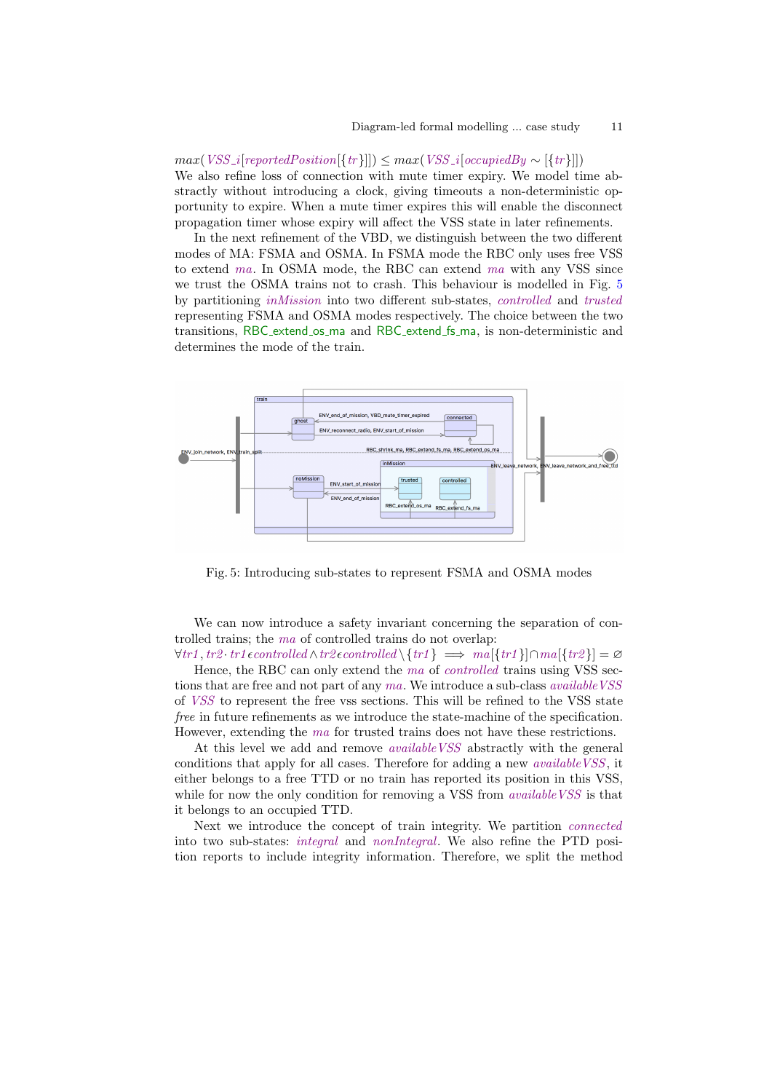$max(VSS\_i[reportedPosition[\{tr\}]]) \le max(VSS\_i[occupiedBy ~ [ftr]]])$ We also refine loss of connection with mute timer expiry. We model time abstractly without introducing a clock, giving timeouts a non-deterministic opportunity to expire. When a mute timer expires this will enable the disconnect propagation timer whose expiry will affect the VSS state in later refinements.

In the next refinement of the VBD, we distinguish between the two different modes of MA: FSMA and OSMA. In FSMA mode the RBC only uses free VSS to extend ma. In OSMA mode, the RBC can extend ma with any VSS since we trust the OSMA trains not to crash. This behaviour is modelled in Fig. [5](#page-10-0) by partitioning inMission into two different sub-states, controlled and trusted representing FSMA and OSMA modes respectively. The choice between the two transitions, RBC extend os ma and RBC extend fs ma, is non-deterministic and determines the mode of the train.

<span id="page-10-0"></span>

Fig. 5: Introducing sub-states to represent FSMA and OSMA modes

We can now introduce a safety invariant concerning the separation of controlled trains; the ma of controlled trains do not overlap:

 $\forall tri1, tr2 \cdot tri1 \in controlled \land tr2 \in controlled \{tr1\} \implies ma[\{tr1\} \cap ma[\{tr2\}] = \varnothing$ Hence, the RBC can only extend the ma of *controlled* trains using VSS sections that are free and not part of any ma. We introduce a sub-class *available VSS* of VSS to represent the free vss sections. This will be refined to the VSS state free in future refinements as we introduce the state-machine of the specification. However, extending the ma for trusted trains does not have these restrictions.

At this level we add and remove *available VSS* abstractly with the general conditions that apply for all cases. Therefore for adding a new availableVSS, it either belongs to a free TTD or no train has reported its position in this VSS, while for now the only condition for removing a VSS from *available VSS* is that it belongs to an occupied TTD.

Next we introduce the concept of train integrity. We partition connected into two sub-states: integral and nonIntegral. We also refine the PTD position reports to include integrity information. Therefore, we split the method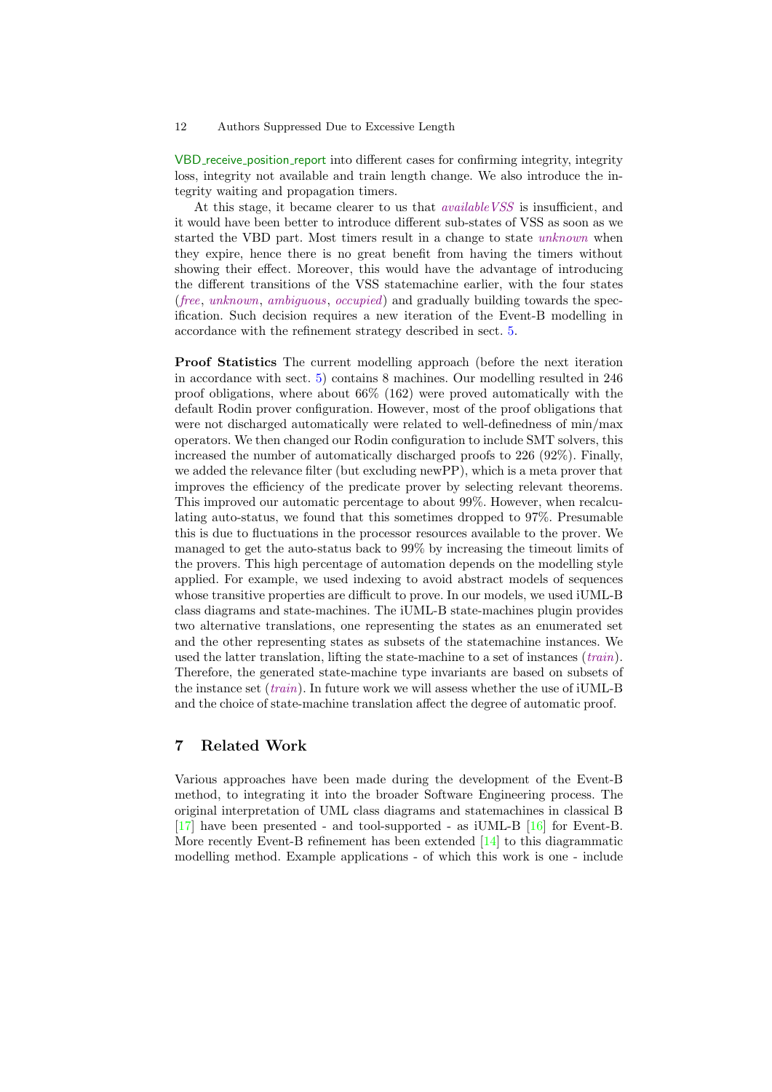VBD receive position report into different cases for confirming integrity, integrity loss, integrity not available and train length change. We also introduce the integrity waiting and propagation timers.

At this stage, it became clearer to us that *available VSS* is insufficient, and it would have been better to introduce different sub-states of VSS as soon as we started the VBD part. Most timers result in a change to state unknown when they expire, hence there is no great benefit from having the timers without showing their effect. Moreover, this would have the advantage of introducing the different transitions of the VSS statemachine earlier, with the four states (free, unknown, ambiguous, occupied) and gradually building towards the specification. Such decision requires a new iteration of the Event-B modelling in accordance with the refinement strategy described in sect. [5.](#page-6-0)

Proof Statistics The current modelling approach (before the next iteration in accordance with sect. [5\)](#page-6-0) contains 8 machines. Our modelling resulted in 246 proof obligations, where about  $66\%$  (162) were proved automatically with the default Rodin prover configuration. However, most of the proof obligations that were not discharged automatically were related to well-definedness of min/max operators. We then changed our Rodin configuration to include SMT solvers, this increased the number of automatically discharged proofs to 226 (92%). Finally, we added the relevance filter (but excluding newPP), which is a meta prover that improves the efficiency of the predicate prover by selecting relevant theorems. This improved our automatic percentage to about 99%. However, when recalculating auto-status, we found that this sometimes dropped to 97%. Presumable this is due to fluctuations in the processor resources available to the prover. We managed to get the auto-status back to 99% by increasing the timeout limits of the provers. This high percentage of automation depends on the modelling style applied. For example, we used indexing to avoid abstract models of sequences whose transitive properties are difficult to prove. In our models, we used iUML-B class diagrams and state-machines. The iUML-B state-machines plugin provides two alternative translations, one representing the states as an enumerated set and the other representing states as subsets of the statemachine instances. We used the latter translation, lifting the state-machine to a set of instances (train). Therefore, the generated state-machine type invariants are based on subsets of the instance set  $(train)$ . In future work we will assess whether the use of iUML-B and the choice of state-machine translation affect the degree of automatic proof.

# <span id="page-11-0"></span>7 Related Work

Various approaches have been made during the development of the Event-B method, to integrating it into the broader Software Engineering process. The original interpretation of UML class diagrams and statemachines in classical B [\[17\]](#page-14-3) have been presented - and tool-supported - as iUML-B [\[16\]](#page-14-4) for Event-B. More recently Event-B refinement has been extended  $[14]$  to this diagrammatic modelling method. Example applications - of which this work is one - include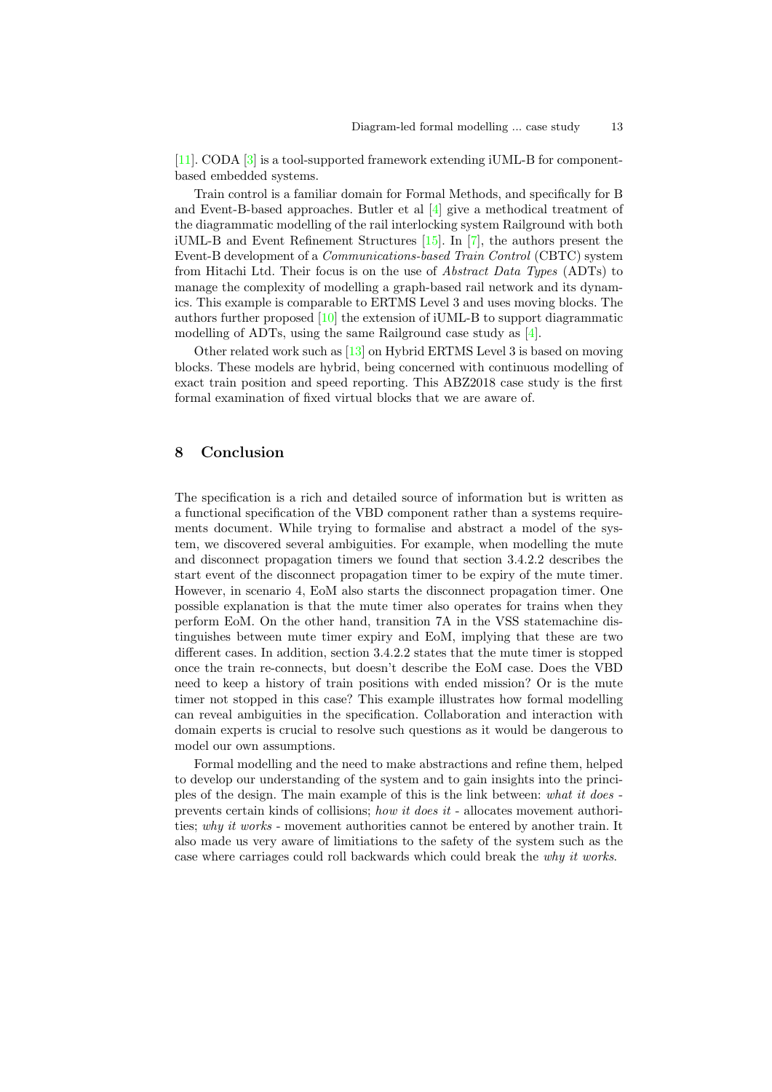[\[11\]](#page-14-7). CODA [\[3\]](#page-14-8) is a tool-supported framework extending iUML-B for componentbased embedded systems.

Train control is a familiar domain for Formal Methods, and specifically for B and Event-B-based approaches. Butler et al [\[4\]](#page-14-9) give a methodical treatment of the diagrammatic modelling of the rail interlocking system Railground with both iUML-B and Event Refinement Structures [\[15\]](#page-14-10). In [\[7\]](#page-14-11), the authors present the Event-B development of a Communications-based Train Control (CBTC) system from Hitachi Ltd. Their focus is on the use of Abstract Data Types (ADTs) to manage the complexity of modelling a graph-based rail network and its dynamics. This example is comparable to ERTMS Level 3 and uses moving blocks. The authors further proposed [\[10\]](#page-14-12) the extension of iUML-B to support diagrammatic modelling of ADTs, using the same Railground case study as [\[4\]](#page-14-9).

Other related work such as [\[13\]](#page-14-13) on Hybrid ERTMS Level 3 is based on moving blocks. These models are hybrid, being concerned with continuous modelling of exact train position and speed reporting. This ABZ2018 case study is the first formal examination of fixed virtual blocks that we are aware of.

# <span id="page-12-0"></span>8 Conclusion

The specification is a rich and detailed source of information but is written as a functional specification of the VBD component rather than a systems requirements document. While trying to formalise and abstract a model of the system, we discovered several ambiguities. For example, when modelling the mute and disconnect propagation timers we found that section 3.4.2.2 describes the start event of the disconnect propagation timer to be expiry of the mute timer. However, in scenario 4, EoM also starts the disconnect propagation timer. One possible explanation is that the mute timer also operates for trains when they perform EoM. On the other hand, transition 7A in the VSS statemachine distinguishes between mute timer expiry and EoM, implying that these are two different cases. In addition, section 3.4.2.2 states that the mute timer is stopped once the train re-connects, but doesn't describe the EoM case. Does the VBD need to keep a history of train positions with ended mission? Or is the mute timer not stopped in this case? This example illustrates how formal modelling can reveal ambiguities in the specification. Collaboration and interaction with domain experts is crucial to resolve such questions as it would be dangerous to model our own assumptions.

Formal modelling and the need to make abstractions and refine them, helped to develop our understanding of the system and to gain insights into the principles of the design. The main example of this is the link between: what it does prevents certain kinds of collisions; how it does it - allocates movement authorities; why it works - movement authorities cannot be entered by another train. It also made us very aware of limitiations to the safety of the system such as the case where carriages could roll backwards which could break the why it works.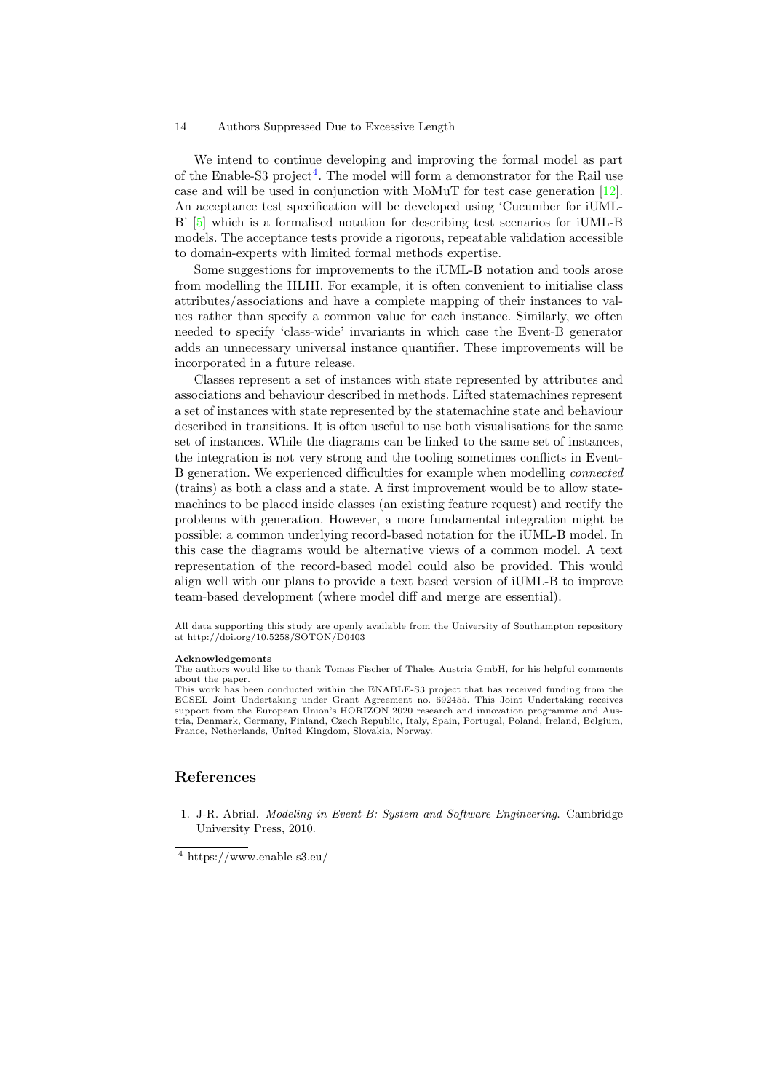We intend to continue developing and improving the formal model as part of the Enable-S3 project<sup>[4](#page-13-1)</sup>. The model will form a demonstrator for the Rail use case and will be used in conjunction with MoMuT for test case generation [\[12\]](#page-14-14). An acceptance test specification will be developed using 'Cucumber for iUML-B' [\[5\]](#page-14-15) which is a formalised notation for describing test scenarios for iUML-B models. The acceptance tests provide a rigorous, repeatable validation accessible to domain-experts with limited formal methods expertise.

Some suggestions for improvements to the iUML-B notation and tools arose from modelling the HLIII. For example, it is often convenient to initialise class attributes/associations and have a complete mapping of their instances to values rather than specify a common value for each instance. Similarly, we often needed to specify 'class-wide' invariants in which case the Event-B generator adds an unnecessary universal instance quantifier. These improvements will be incorporated in a future release.

Classes represent a set of instances with state represented by attributes and associations and behaviour described in methods. Lifted statemachines represent a set of instances with state represented by the statemachine state and behaviour described in transitions. It is often useful to use both visualisations for the same set of instances. While the diagrams can be linked to the same set of instances, the integration is not very strong and the tooling sometimes conflicts in Event-B generation. We experienced difficulties for example when modelling connected (trains) as both a class and a state. A first improvement would be to allow statemachines to be placed inside classes (an existing feature request) and rectify the problems with generation. However, a more fundamental integration might be possible: a common underlying record-based notation for the iUML-B model. In this case the diagrams would be alternative views of a common model. A text representation of the record-based model could also be provided. This would align well with our plans to provide a text based version of iUML-B to improve team-based development (where model diff and merge are essential).

All data supporting this study are openly available from the University of Southampton repository at http://doi.org/10.5258/SOTON/D0403

#### Acknowledgements

The authors would like to thank Tomas Fischer of Thales Austria GmbH, for his helpful comments about the paper.

This work has been conducted within the ENABLE-S3 project that has received funding from the ECSEL Joint Undertaking under Grant Agreement no. 692455. This Joint Undertaking receives support from the European Union's HORIZON 2020 research and innovation programme and Austria, Denmark, Germany, Finland, Czech Republic, Italy, Spain, Portugal, Poland, Ireland, Belgium, France, Netherlands, United Kingdom, Slovakia, Norway.

## References

<span id="page-13-0"></span>1. J-R. Abrial. Modeling in Event-B: System and Software Engineering. Cambridge University Press, 2010.

<span id="page-13-1"></span> $^4$ https://www.enable-s3.eu/